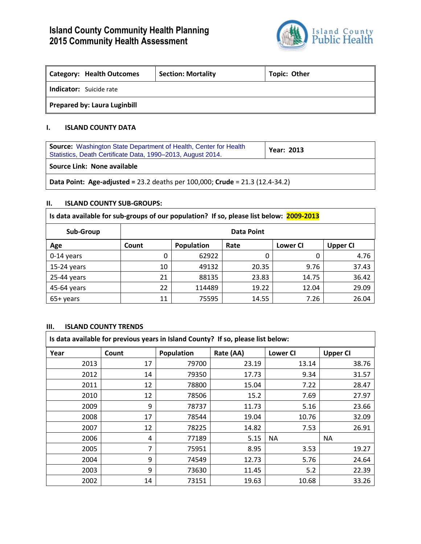

٦

| <b>Category: Health Outcomes</b>    | <b>Section: Mortality</b> | Topic: Other |  |  |  |
|-------------------------------------|---------------------------|--------------|--|--|--|
| <b>Indicator:</b> Suicide rate      |                           |              |  |  |  |
| <b>Prepared by: Laura Luginbill</b> |                           |              |  |  |  |

# **I. ISLAND COUNTY DATA**

| <b>Source:</b> Washington State Department of Health, Center for Health<br>Statistics, Death Certificate Data, 1990-2013, August 2014. | <b>Year: 2013</b> |  |  |  |
|----------------------------------------------------------------------------------------------------------------------------------------|-------------------|--|--|--|
| Source Link: None available                                                                                                            |                   |  |  |  |
| Data Point: Age-adjusted = 23.2 deaths per 100,000; Crude = $21.3$ (12.4-34.2)                                                         |                   |  |  |  |

# **II. ISLAND COUNTY SUB-GROUPS:**

| Is data available for sub-groups of our population? If so, please list below: 2009-2013 |                   |            |       |                 |                 |
|-----------------------------------------------------------------------------------------|-------------------|------------|-------|-----------------|-----------------|
| Sub-Group                                                                               | <b>Data Point</b> |            |       |                 |                 |
| Age                                                                                     | Count             | Population | Rate  | <b>Lower CI</b> | <b>Upper CI</b> |
| $0-14$ years                                                                            | 0                 | 62922      | 0     | 0               | 4.76            |
| $15-24$ years                                                                           | 10                | 49132      | 20.35 | 9.76            | 37.43           |
| 25-44 years                                                                             | 21                | 88135      | 23.83 | 14.75           | 36.42           |
| 45-64 years                                                                             | 22                | 114489     | 19.22 | 12.04           | 29.09           |
| 65+ years                                                                               | 11                | 75595      | 14.55 | 7.26            | 26.04           |

# **III. ISLAND COUNTY TRENDS**

| Is data available for previous years in Island County? If so, please list below: |       |            |           |                 |                 |
|----------------------------------------------------------------------------------|-------|------------|-----------|-----------------|-----------------|
| Year                                                                             | Count | Population | Rate (AA) | <b>Lower CI</b> | <b>Upper CI</b> |
| 2013                                                                             | 17    | 79700      | 23.19     | 13.14           | 38.76           |
| 2012                                                                             | 14    | 79350      | 17.73     | 9.34            | 31.57           |
| 2011                                                                             | 12    | 78800      | 15.04     | 7.22            | 28.47           |
| 2010                                                                             | 12    | 78506      | 15.2      | 7.69            | 27.97           |
| 2009                                                                             | 9     | 78737      | 11.73     | 5.16            | 23.66           |
| 2008                                                                             | 17    | 78544      | 19.04     | 10.76           | 32.09           |
| 2007                                                                             | 12    | 78225      | 14.82     | 7.53            | 26.91           |
| 2006                                                                             | 4     | 77189      | 5.15      | ΝA              | <b>NA</b>       |
| 2005                                                                             | 7     | 75951      | 8.95      | 3.53            | 19.27           |
| 2004                                                                             | 9     | 74549      | 12.73     | 5.76            | 24.64           |
| 2003                                                                             | 9     | 73630      | 11.45     | 5.2             | 22.39           |
| 2002                                                                             | 14    | 73151      | 19.63     | 10.68           | 33.26           |